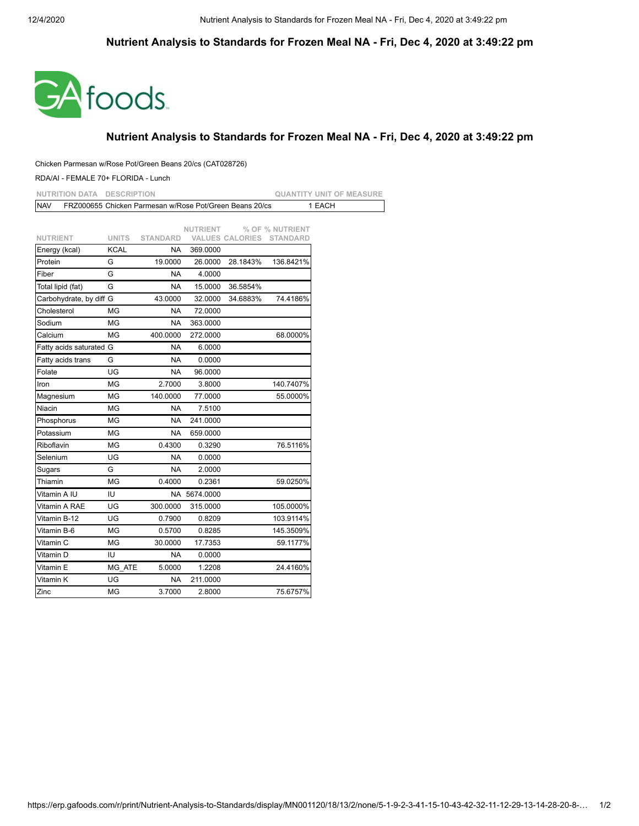## **Nutrient Analysis to Standards for Frozen Meal NA - Fri, Dec 4, 2020 at 3:49:22 pm**



## **Nutrient Analysis to Standards for Frozen Meal NA - Fri, Dec 4, 2020 at 3:49:22 pm**

## Chicken Parmesan w/Rose Pot/Green Beans 20/cs (CAT028726)

## RDA/AI - FEMALE 70+ FLORIDA - Lunch

| <b>NUTRITION DATA</b>   | <b>DESCRIPTION</b> |                                                         |                 |          |                                 | <b>QUANTITY UNIT OF MEASURE</b> |
|-------------------------|--------------------|---------------------------------------------------------|-----------------|----------|---------------------------------|---------------------------------|
| <b>NAV</b>              |                    | FRZ000655 Chicken Parmesan w/Rose Pot/Green Beans 20/cs |                 |          |                                 | 1 EACH                          |
|                         |                    |                                                         |                 |          |                                 |                                 |
|                         |                    |                                                         | <b>NUTRIENT</b> |          | % OF % NUTRIENT                 |                                 |
| <b>NUTRIENT</b>         | <b>UNITS</b>       | <b>STANDARD</b>                                         |                 |          | <b>VALUES CALORIES STANDARD</b> |                                 |
| Energy (kcal)           | <b>KCAL</b>        | NA.                                                     | 369.0000        |          |                                 |                                 |
| Protein                 | G                  | 19.0000                                                 | 26.0000         | 28.1843% | 136.8421%                       |                                 |
| Fiber                   | G                  | <b>NA</b>                                               | 4.0000          |          |                                 |                                 |
| Total lipid (fat)       | G                  | <b>NA</b>                                               | 15.0000         | 36.5854% |                                 |                                 |
| Carbohydrate, by diff G |                    | 43.0000                                                 | 32.0000         | 34.6883% | 74.4186%                        |                                 |
| Cholesterol             | MG                 | NA                                                      | 72.0000         |          |                                 |                                 |
| Sodium                  | ΜG                 | NA                                                      | 363.0000        |          |                                 |                                 |
| Calcium                 | MG                 | 400.0000                                                | 272.0000        |          | 68.0000%                        |                                 |
| Fatty acids saturated G |                    | <b>NA</b>                                               | 6.0000          |          |                                 |                                 |
| Fatty acids trans       | G                  | <b>NA</b>                                               | 0.0000          |          |                                 |                                 |
| Folate                  | UG                 | <b>NA</b>                                               | 96.0000         |          |                                 |                                 |
| Iron                    | ΜG                 | 2.7000                                                  | 3.8000          |          | 140.7407%                       |                                 |
| Magnesium               | MG                 | 140.0000                                                | 77.0000         |          | 55.0000%                        |                                 |
| Niacin                  | ΜG                 | NA.                                                     | 7.5100          |          |                                 |                                 |
| Phosphorus              | MG                 | <b>NA</b>                                               | 241.0000        |          |                                 |                                 |
| Potassium               | ΜG                 | NA                                                      | 659.0000        |          |                                 |                                 |
| Riboflavin              | ΜG                 | 0.4300                                                  | 0.3290          |          | 76.5116%                        |                                 |
| Selenium                | UG                 | <b>NA</b>                                               | 0.0000          |          |                                 |                                 |
| Sugars                  | G                  | <b>NA</b>                                               | 2.0000          |          |                                 |                                 |
| Thiamin                 | MG                 | 0.4000                                                  | 0.2361          |          | 59.0250%                        |                                 |
| Vitamin A IU            | IU                 |                                                         | NA 5674.0000    |          |                                 |                                 |
| Vitamin A RAE           | UG                 | 300.0000                                                | 315.0000        |          | 105.0000%                       |                                 |
| Vitamin B-12            | UG                 | 0.7900                                                  | 0.8209          |          | 103.9114%                       |                                 |
| Vitamin B-6             | MG                 | 0.5700                                                  | 0.8285          |          | 145.3509%                       |                                 |
| ∨itamin C               | ΜG                 | 30.0000                                                 | 17.7353         |          | 59.1177%                        |                                 |
| Vitamin D               | IU                 | <b>NA</b>                                               | 0.0000          |          |                                 |                                 |
| Vitamin E               | MG ATE             | 5.0000                                                  | 1.2208          |          | 24.4160%                        |                                 |
| Vitamin K               | UG                 | <b>NA</b>                                               | 211.0000        |          |                                 |                                 |
| Zinc                    | ΜG                 | 3.7000                                                  | 2.8000          |          | 75.6757%                        |                                 |
|                         |                    |                                                         |                 |          |                                 |                                 |